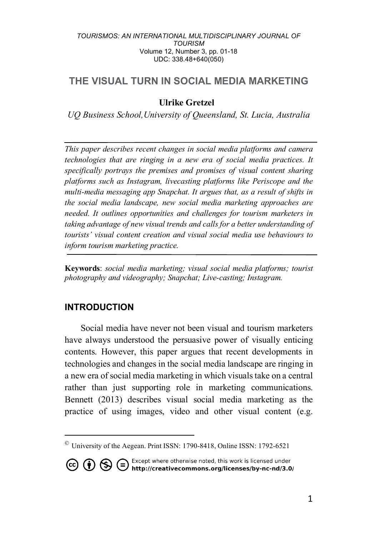# **THE VISUAL TURN IN SOCIAL MEDIA MARKETING**

## **Ulrike Gretzel**

*UQ Business School,University of Queensland, St. Lucia, Australia*

*This paper describes recent changes in social media platforms and camera technologies that are ringing in a new era of social media practices. It specifically portrays the premises and promises of visual content sharing platforms such as Instagram, livecasting platforms like Periscope and the multi-media messaging app Snapchat. It argues that, as a result of shifts in the social media landscape, new social media marketing approaches are needed. It outlines opportunities and challenges for tourism marketers in taking advantage of new visual trends and calls for a better understanding of tourists' visual content creation and visual social media use behaviours to inform tourism marketing practice.*

**Keywords**: *social media marketing; visual social media platforms; tourist photography and videography; Snapchat; Live-casting; Instagram.*

## **INTRODUCTION**

 $\overline{a}$ 

Social media have never not been visual and tourism marketers have always understood the persuasive power of visually enticing contents. However, this paper argues that recent developments in technologies and changes in the social media landscape are ringing in a new era of social media marketing in which visuals take on a central rather than just supporting role in marketing communications. Bennett (2013) describes visual social media marketing as the practice of using images, video and other visual content (e.g.

**CO (i)** S Except where otherwise noted, this work is licensed under http://creativecommons.org/licenses/by-nc-nd/3.0/

<sup>©</sup> University of the Aegean. Print ISSN: 1790-8418, Online ISSN: 1792-6521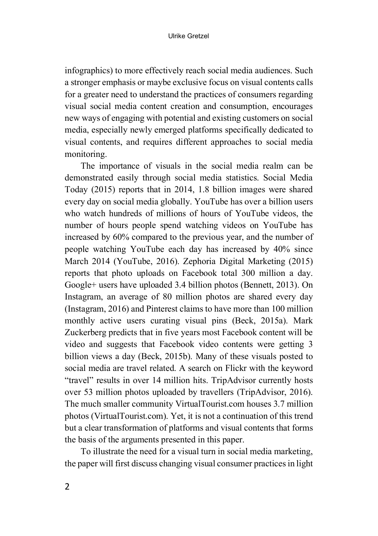infographics) to more effectively reach social media audiences. Such a stronger emphasis or maybe exclusive focus on visual contents calls for a greater need to understand the practices of consumers regarding visual social media content creation and consumption, encourages new ways of engaging with potential and existing customers on social media, especially newly emerged platforms specifically dedicated to visual contents, and requires different approaches to social media monitoring.

The importance of visuals in the social media realm can be demonstrated easily through social media statistics. Social Media Today (2015) reports that in 2014, 1.8 billion images were shared every day on social media globally. YouTube has over a billion users who watch hundreds of millions of hours of YouTube videos, the number of hours people spend watching videos on YouTube has increased by 60% compared to the previous year, and the number of people watching YouTube each day has increased by 40% since March 2014 (YouTube, 2016). Zephoria Digital Marketing (2015) reports that photo uploads on Facebook total 300 million a day. Google+ users have uploaded 3.4 billion photos (Bennett, 2013). On Instagram, an average of 80 million photos are shared every day (Instagram, 2016) and Pinterest claims to have more than 100 million monthly active users curating visual pins (Beck, 2015a). Mark Zuckerberg predicts that in five years most Facebook content will be video and suggests that Facebook video contents were getting 3 billion views a day (Beck, 2015b). Many of these visuals posted to social media are travel related. A search on Flickr with the keyword "travel" results in over 14 million hits. TripAdvisor currently hosts over 53 million photos uploaded by travellers (TripAdvisor, 2016). The much smaller community VirtualTourist.com houses 3.7 million photos (VirtualTourist.com). Yet, it is not a continuation of this trend but a clear transformation of platforms and visual contents that forms the basis of the arguments presented in this paper.

To illustrate the need for a visual turn in social media marketing, the paper will first discuss changing visual consumer practices in light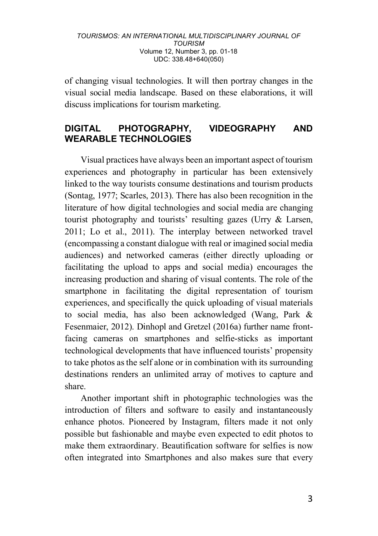of changing visual technologies. It will then portray changes in the visual social media landscape. Based on these elaborations, it will discuss implications for tourism marketing.

## **DIGITAL PHOTOGRAPHY, VIDEOGRAPHY AND WEARABLE TECHNOLOGIES**

Visual practices have always been an important aspect of tourism experiences and photography in particular has been extensively linked to the way tourists consume destinations and tourism products (Sontag, 1977; Scarles, 2013). There has also been recognition in the literature of how digital technologies and social media are changing tourist photography and tourists' resulting gazes (Urry & Larsen, 2011; Lo et al., 2011). The interplay between networked travel (encompassing a constant dialogue with real or imagined social media audiences) and networked cameras (either directly uploading or facilitating the upload to apps and social media) encourages the increasing production and sharing of visual contents. The role of the smartphone in facilitating the digital representation of tourism experiences, and specifically the quick uploading of visual materials to social media, has also been acknowledged (Wang, Park & Fesenmaier, 2012). Dinhopl and Gretzel (2016a) further name frontfacing cameras on smartphones and selfie-sticks as important technological developments that have influenced tourists' propensity to take photos as the self alone or in combination with its surrounding destinations renders an unlimited array of motives to capture and share.

Another important shift in photographic technologies was the introduction of filters and software to easily and instantaneously enhance photos. Pioneered by Instagram, filters made it not only possible but fashionable and maybe even expected to edit photos to make them extraordinary. Beautification software for selfies is now often integrated into Smartphones and also makes sure that every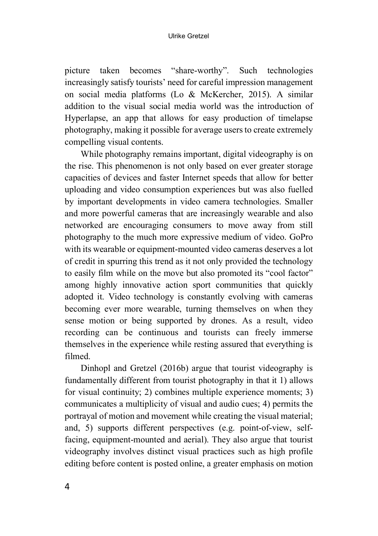picture taken becomes "share-worthy". Such technologies increasingly satisfy tourists' need for careful impression management on social media platforms (Lo & McKercher, 2015). A similar addition to the visual social media world was the introduction of Hyperlapse, an app that allows for easy production of timelapse photography, making it possible for average users to create extremely compelling visual contents.

While photography remains important, digital videography is on the rise. This phenomenon is not only based on ever greater storage capacities of devices and faster Internet speeds that allow for better uploading and video consumption experiences but was also fuelled by important developments in video camera technologies. Smaller and more powerful cameras that are increasingly wearable and also networked are encouraging consumers to move away from still photography to the much more expressive medium of video. GoPro with its wearable or equipment-mounted video cameras deserves a lot of credit in spurring this trend as it not only provided the technology to easily film while on the move but also promoted its "cool factor" among highly innovative action sport communities that quickly adopted it. Video technology is constantly evolving with cameras becoming ever more wearable, turning themselves on when they sense motion or being supported by drones. As a result, video recording can be continuous and tourists can freely immerse themselves in the experience while resting assured that everything is filmed.

Dinhopl and Gretzel (2016b) argue that tourist videography is fundamentally different from tourist photography in that it 1) allows for visual continuity; 2) combines multiple experience moments; 3) communicates a multiplicity of visual and audio cues; 4) permits the portrayal of motion and movement while creating the visual material; and, 5) supports different perspectives (e.g. point-of-view, selffacing, equipment-mounted and aerial). They also argue that tourist videography involves distinct visual practices such as high profile editing before content is posted online, a greater emphasis on motion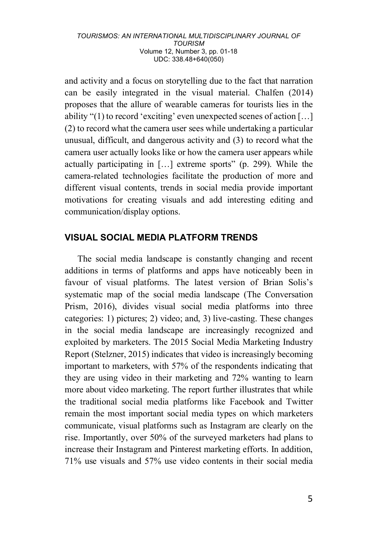and activity and a focus on storytelling due to the fact that narration can be easily integrated in the visual material. Chalfen (2014) proposes that the allure of wearable cameras for tourists lies in the ability "(1) to record 'exciting' even unexpected scenes of action […] (2) to record what the camera user sees while undertaking a particular unusual, difficult, and dangerous activity and (3) to record what the camera user actually looks like or how the camera user appears while actually participating in […] extreme sports" (p. 299). While the camera-related technologies facilitate the production of more and different visual contents, trends in social media provide important motivations for creating visuals and add interesting editing and communication/display options.

## **VISUAL SOCIAL MEDIA PLATFORM TRENDS**

The social media landscape is constantly changing and recent additions in terms of platforms and apps have noticeably been in favour of visual platforms. The latest version of Brian Solis's systematic map of the social media landscape (The Conversation Prism, 2016), divides visual social media platforms into three categories: 1) pictures; 2) video; and, 3) live-casting. These changes in the social media landscape are increasingly recognized and exploited by marketers. The 2015 Social Media Marketing Industry Report (Stelzner, 2015) indicates that video is increasingly becoming important to marketers, with 57% of the respondents indicating that they are using video in their marketing and 72% wanting to learn more about video marketing. The report further illustrates that while the traditional social media platforms like Facebook and Twitter remain the most important social media types on which marketers communicate, visual platforms such as Instagram are clearly on the rise. Importantly, over 50% of the surveyed marketers had plans to increase their Instagram and Pinterest marketing efforts. In addition, 71% use visuals and 57% use video contents in their social media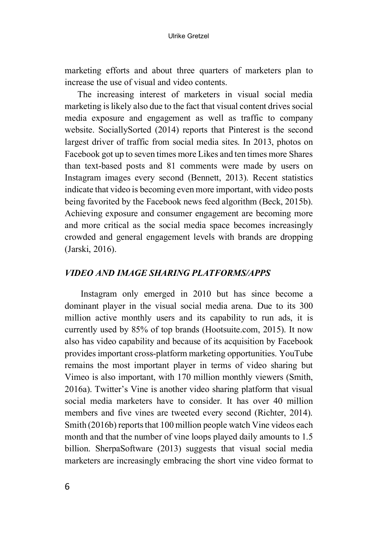marketing efforts and about three quarters of marketers plan to increase the use of visual and video contents.

The increasing interest of marketers in visual social media marketing is likely also due to the fact that visual content drives social media exposure and engagement as well as traffic to company website. SociallySorted (2014) reports that Pinterest is the second largest driver of traffic from social media sites. In 2013, photos on Facebook got up to seven times more Likes and ten times more Shares than text-based posts and 81 comments were made by users on Instagram images every second (Bennett, 2013). Recent statistics indicate that video is becoming even more important, with video posts being favorited by the Facebook news feed algorithm (Beck, 2015b). Achieving exposure and consumer engagement are becoming more and more critical as the social media space becomes increasingly crowded and general engagement levels with brands are dropping (Jarski, 2016).

## *VIDEO AND IMAGE SHARING PLATFORMS/APPS*

Instagram only emerged in 2010 but has since become a dominant player in the visual social media arena. Due to its 300 million active monthly users and its capability to run ads, it is currently used by 85% of top brands (Hootsuite.com, 2015). It now also has video capability and because of its acquisition by Facebook provides important cross-platform marketing opportunities. YouTube remains the most important player in terms of video sharing but Vimeo is also important, with 170 million monthly viewers (Smith, 2016a). Twitter's Vine is another video sharing platform that visual social media marketers have to consider. It has over 40 million members and five vines are tweeted every second (Richter, 2014). Smith (2016b) reports that 100 million people watch Vine videos each month and that the number of vine loops played daily amounts to 1.5 billion. SherpaSoftware (2013) suggests that visual social media marketers are increasingly embracing the short vine video format to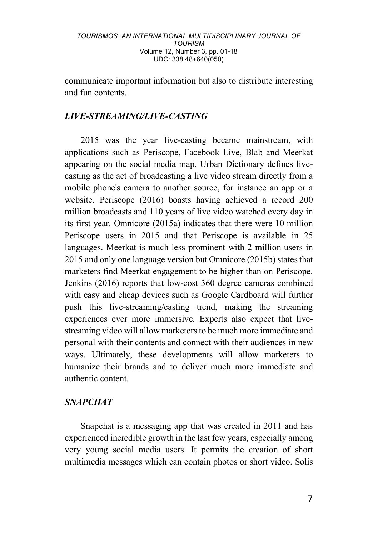communicate important information but also to distribute interesting and fun contents.

### *LIVE-STREAMING/LIVE-CASTING*

2015 was the year live-casting became mainstream, with applications such as Periscope, Facebook Live, Blab and Meerkat appearing on the social media map. Urban Dictionary defines livecasting as the act of broadcasting a live video stream directly from a mobile phone's camera to another source, for instance an app or a website. Periscope (2016) boasts having achieved a record 200 million broadcasts and 110 years of live video watched every day in its first year. Omnicore (2015a) indicates that there were 10 million Periscope users in 2015 and that Periscope is available in 25 languages. Meerkat is much less prominent with 2 million users in 2015 and only one language version but Omnicore (2015b) states that marketers find Meerkat engagement to be higher than on Periscope. Jenkins (2016) reports that low-cost 360 degree cameras combined with easy and cheap devices such as Google Cardboard will further push this live-streaming/casting trend, making the streaming experiences ever more immersive. Experts also expect that livestreaming video will allow marketers to be much more immediate and personal with their contents and connect with their audiences in new ways. Ultimately, these developments will allow marketers to humanize their brands and to deliver much more immediate and authentic content.

### *SNAPCHAT*

Snapchat is a messaging app that was created in 2011 and has experienced incredible growth in the last few years, especially among very young social media users. It permits the creation of short multimedia messages which can contain photos or short video. Solis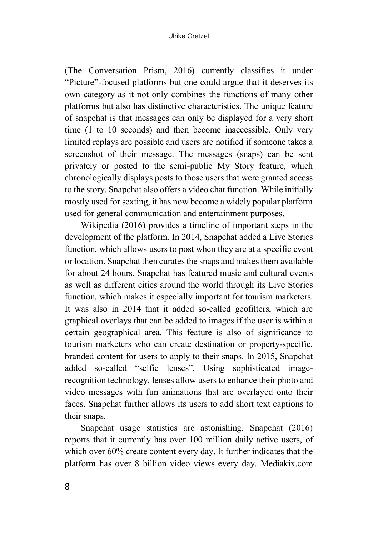#### Ulrike Gretzel

(The Conversation Prism, 2016) currently classifies it under "Picture"-focused platforms but one could argue that it deserves its own category as it not only combines the functions of many other platforms but also has distinctive characteristics. The unique feature of snapchat is that messages can only be displayed for a very short time (1 to 10 seconds) and then become inaccessible. Only very limited replays are possible and users are notified if someone takes a screenshot of their message. The messages (snaps) can be sent privately or posted to the semi-public My Story feature, which chronologically displays posts to those users that were granted access to the story. Snapchat also offers a video chat function. While initially mostly used for sexting, it has now become a widely popular platform used for general communication and entertainment purposes.

Wikipedia (2016) provides a timeline of important steps in the development of the platform. In 2014, Snapchat added a Live Stories function, which allows users to post when they are at a specific event or location. Snapchat then curates the snaps and makes them available for about 24 hours. Snapchat has featured music and cultural events as well as different cities around the world through its Live Stories function, which makes it especially important for tourism marketers. It was also in 2014 that it added so-called geofilters, which are graphical overlays that can be added to images if the user is within a certain geographical area. This feature is also of significance to tourism marketers who can create destination or property-specific, branded content for users to apply to their snaps. In 2015, Snapchat added so-called "selfie lenses". Using sophisticated imagerecognition technology, lenses allow users to enhance their photo and video messages with fun animations that are overlayed onto their faces. Snapchat further allows its users to add short text captions to their snaps.

Snapchat usage statistics are astonishing. Snapchat (2016) reports that it currently has over 100 million daily active users, of which over 60% create content every day. It further indicates that the platform has over 8 billion video views every day. Mediakix.com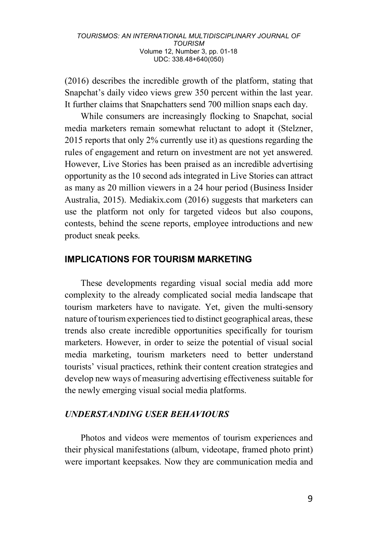(2016) describes the incredible growth of the platform, stating that Snapchat's daily video views grew 350 percent within the last year. It further claims that Snapchatters send 700 million snaps each day.

While consumers are increasingly flocking to Snapchat, social media marketers remain somewhat reluctant to adopt it (Stelzner, 2015 reports that only 2% currently use it) as questions regarding the rules of engagement and return on investment are not yet answered. However, Live Stories has been praised as an incredible advertising opportunity as the 10 second ads integrated in Live Stories can attract as many as 20 million viewers in a 24 hour period (Business Insider Australia, 2015). Mediakix.com (2016) suggests that marketers can use the platform not only for targeted videos but also coupons, contests, behind the scene reports, employee introductions and new product sneak peeks.

## **IMPLICATIONS FOR TOURISM MARKETING**

These developments regarding visual social media add more complexity to the already complicated social media landscape that tourism marketers have to navigate. Yet, given the multi-sensory nature of tourism experiences tied to distinct geographical areas, these trends also create incredible opportunities specifically for tourism marketers. However, in order to seize the potential of visual social media marketing, tourism marketers need to better understand tourists' visual practices, rethink their content creation strategies and develop new ways of measuring advertising effectiveness suitable for the newly emerging visual social media platforms.

### *UNDERSTANDING USER BEHAVIOURS*

Photos and videos were mementos of tourism experiences and their physical manifestations (album, videotape, framed photo print) were important keepsakes. Now they are communication media and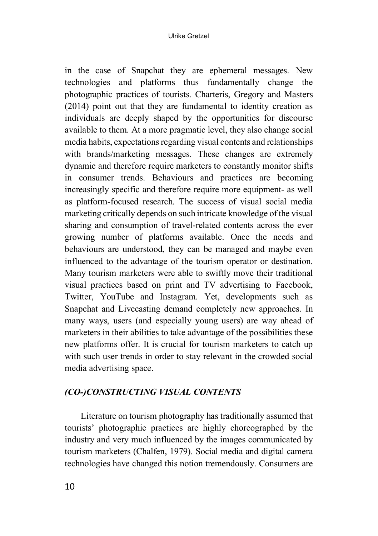#### Ulrike Gretzel

in the case of Snapchat they are ephemeral messages. New technologies and platforms thus fundamentally change the photographic practices of tourists. Charteris, Gregory and Masters (2014) point out that they are fundamental to identity creation as individuals are deeply shaped by the opportunities for discourse available to them. At a more pragmatic level, they also change social media habits, expectations regarding visual contents and relationships with brands/marketing messages. These changes are extremely dynamic and therefore require marketers to constantly monitor shifts in consumer trends. Behaviours and practices are becoming increasingly specific and therefore require more equipment- as well as platform-focused research. The success of visual social media marketing critically depends on such intricate knowledge of the visual sharing and consumption of travel-related contents across the ever growing number of platforms available. Once the needs and behaviours are understood, they can be managed and maybe even influenced to the advantage of the tourism operator or destination. Many tourism marketers were able to swiftly move their traditional visual practices based on print and TV advertising to Facebook, Twitter, YouTube and Instagram. Yet, developments such as Snapchat and Livecasting demand completely new approaches. In many ways, users (and especially young users) are way ahead of marketers in their abilities to take advantage of the possibilities these new platforms offer. It is crucial for tourism marketers to catch up with such user trends in order to stay relevant in the crowded social media advertising space.

## *(CO-)CONSTRUCTING VISUAL CONTENTS*

Literature on tourism photography has traditionally assumed that tourists' photographic practices are highly choreographed by the industry and very much influenced by the images communicated by tourism marketers (Chalfen, 1979). Social media and digital camera technologies have changed this notion tremendously. Consumers are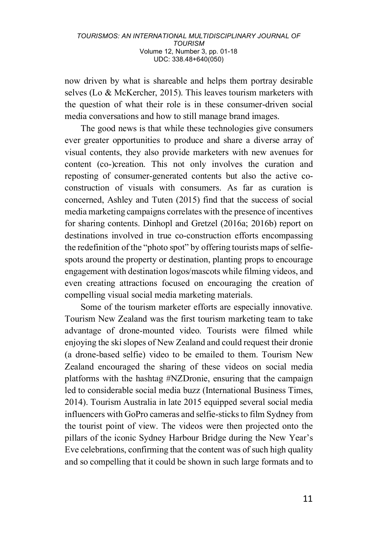now driven by what is shareable and helps them portray desirable selves (Lo & McKercher, 2015). This leaves tourism marketers with the question of what their role is in these consumer-driven social media conversations and how to still manage brand images.

The good news is that while these technologies give consumers ever greater opportunities to produce and share a diverse array of visual contents, they also provide marketers with new avenues for content (co-)creation. This not only involves the curation and reposting of consumer-generated contents but also the active coconstruction of visuals with consumers. As far as curation is concerned, Ashley and Tuten (2015) find that the success of social media marketing campaigns correlates with the presence of incentives for sharing contents. Dinhopl and Gretzel (2016a; 2016b) report on destinations involved in true co-construction efforts encompassing the redefinition of the "photo spot" by offering tourists maps of selfiespots around the property or destination, planting props to encourage engagement with destination logos/mascots while filming videos, and even creating attractions focused on encouraging the creation of compelling visual social media marketing materials.

Some of the tourism marketer efforts are especially innovative. Tourism New Zealand was the first tourism marketing team to take advantage of drone-mounted video. Tourists were filmed while enjoying the ski slopes of New Zealand and could request their dronie (a drone-based selfie) video to be emailed to them. Tourism New Zealand encouraged the sharing of these videos on social media platforms with the hashtag #NZDronie, ensuring that the campaign led to considerable social media buzz (International Business Times, 2014). Tourism Australia in late 2015 equipped several social media influencers with GoPro cameras and selfie-sticks to film Sydney from the tourist point of view. The videos were then projected onto the pillars of the iconic Sydney Harbour Bridge during the New Year's Eve celebrations, confirming that the content was of such high quality and so compelling that it could be shown in such large formats and to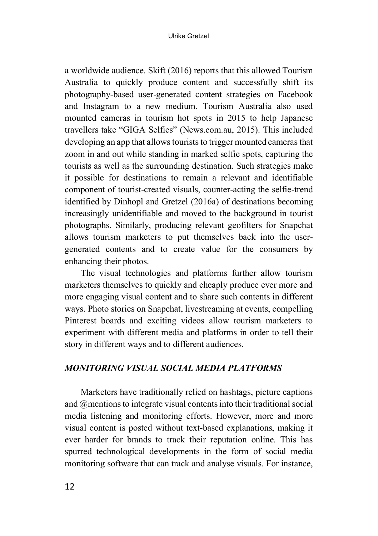a worldwide audience. Skift (2016) reports that this allowed Tourism Australia to quickly produce content and successfully shift its photography-based user-generated content strategies on Facebook and Instagram to a new medium. Tourism Australia also used mounted cameras in tourism hot spots in 2015 to help Japanese travellers take "GIGA Selfies" (News.com.au, 2015). This included developing an app that allows tourists to trigger mounted cameras that zoom in and out while standing in marked selfie spots, capturing the tourists as well as the surrounding destination. Such strategies make it possible for destinations to remain a relevant and identifiable component of tourist-created visuals, counter-acting the selfie-trend identified by Dinhopl and Gretzel (2016a) of destinations becoming increasingly unidentifiable and moved to the background in tourist photographs. Similarly, producing relevant geofilters for Snapchat allows tourism marketers to put themselves back into the usergenerated contents and to create value for the consumers by enhancing their photos.

The visual technologies and platforms further allow tourism marketers themselves to quickly and cheaply produce ever more and more engaging visual content and to share such contents in different ways. Photo stories on Snapchat, livestreaming at events, compelling Pinterest boards and exciting videos allow tourism marketers to experiment with different media and platforms in order to tell their story in different ways and to different audiences.

## *MONITORING VISUAL SOCIAL MEDIA PLATFORMS*

Marketers have traditionally relied on hashtags, picture captions and @mentions to integrate visual contents into their traditional social media listening and monitoring efforts. However, more and more visual content is posted without text-based explanations, making it ever harder for brands to track their reputation online. This has spurred technological developments in the form of social media monitoring software that can track and analyse visuals. For instance,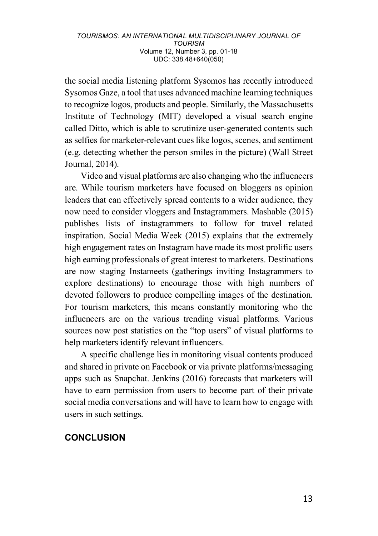the social media listening platform Sysomos has recently introduced Sysomos Gaze, a tool that uses advanced machine learning techniques to recognize logos, products and people. Similarly, the Massachusetts Institute of Technology (MIT) developed a visual search engine called Ditto, which is able to scrutinize user-generated contents such as selfies for marketer-relevant cues like logos, scenes, and sentiment (e.g. detecting whether the person smiles in the picture) (Wall Street Journal, 2014).

Video and visual platforms are also changing who the influencers are. While tourism marketers have focused on bloggers as opinion leaders that can effectively spread contents to a wider audience, they now need to consider vloggers and Instagrammers. Mashable (2015) publishes lists of instagrammers to follow for travel related inspiration. Social Media Week (2015) explains that the extremely high engagement rates on Instagram have made its most prolific users high earning professionals of great interest to marketers. Destinations are now staging Instameets (gatherings inviting Instagrammers to explore destinations) to encourage those with high numbers of devoted followers to produce compelling images of the destination. For tourism marketers, this means constantly monitoring who the influencers are on the various trending visual platforms. Various sources now post statistics on the "top users" of visual platforms to help marketers identify relevant influencers.

A specific challenge lies in monitoring visual contents produced and shared in private on Facebook or via private platforms/messaging apps such as Snapchat. Jenkins (2016) forecasts that marketers will have to earn permission from users to become part of their private social media conversations and will have to learn how to engage with users in such settings.

## **CONCLUSION**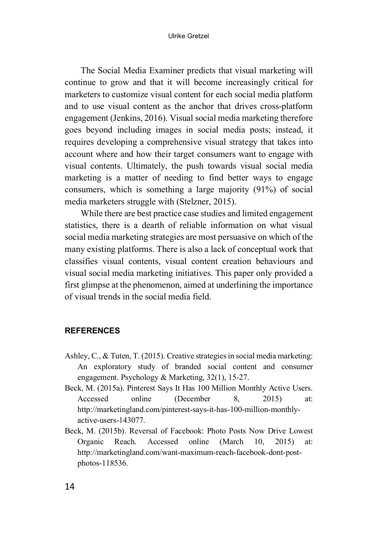The Social Media Examiner predicts that visual marketing will continue to grow and that it will become increasingly critical for marketers to customize visual content for each social media platform and to use visual content as the anchor that drives cross-platform engagement (Jenkins, 2016). Visual social media marketing therefore goes beyond including images in social media posts; instead, it requires developing a comprehensive visual strategy that takes into account where and how their target consumers want to engage with visual contents. Ultimately, the push towards visual social media marketing is a matter of needing to find better ways to engage consumers, which is something a large majority (91%) of social media marketers struggle with (Stelzner, 2015).

While there are best practice case studies and limited engagement statistics, there is a dearth of reliable information on what visual social media marketing strategies are most persuasive on which of the many existing platforms. There is also a lack of conceptual work that classifies visual contents, visual content creation behaviours and visual social media marketing initiatives. This paper only provided a first glimpse at the phenomenon, aimed at underlining the importance of visual trends in the social media field.

### **REFERENCES**

- Ashley, C., & Tuten, T. (2015). Creative strategies in social media marketing: An exploratory study of branded social content and consumer engagement. Psychology & Marketing, 32(1), 15-27.
- Beck, M. (2015a). Pinterest Says It Has 100 Million Monthly Active Users. Accessed online (December 8, 2015) at: http://marketingland.com/pinterest-says-it-has-100-million-monthlyactive-users-143077.
- Beck, M. (2015b). Reversal of Facebook: Photo Posts Now Drive Lowest Organic Reach. Accessed online (March 10, 2015) at: http://marketingland.com/want-maximum-reach-facebook-dont-postphotos-118536.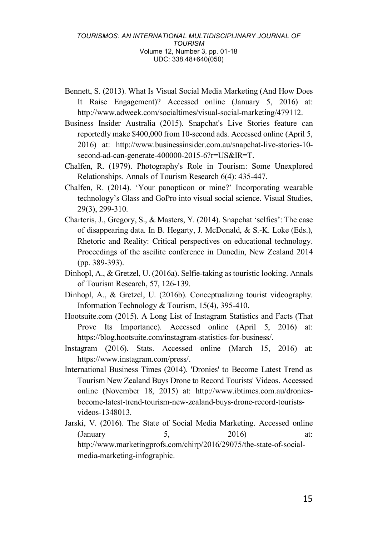- Bennett, S. (2013). What Is Visual Social Media Marketing (And How Does It Raise Engagement)? Accessed online (January 5, 2016) at: http://www.adweek.com/socialtimes/visual-social-marketing/479112.
- Business Insider Australia (2015). Snapchat's Live Stories feature can reportedly make \$400,000 from 10-second ads. Accessed online (April 5, 2016) at: http://www.businessinsider.com.au/snapchat-live-stories-10 second-ad-can-generate-400000-2015-6?r=US&IR=T.
- Chalfen, R. (1979). Photography's Role in Tourism: Some Unexplored Relationships. Annals of Tourism Research 6(4): 435-447.
- Chalfen, R. (2014). 'Your panopticon or mine?' Incorporating wearable technology's Glass and GoPro into visual social science. Visual Studies, 29(3), 299-310.
- Charteris, J., Gregory, S., & Masters, Y. (2014). Snapchat 'selfies': The case of disappearing data. In B. Hegarty, J. McDonald, & S.-K. Loke (Eds.), Rhetoric and Reality: Critical perspectives on educational technology. Proceedings of the ascilite conference in Dunedin, New Zealand 2014 (pp. 389-393).
- Dinhopl, A., & Gretzel, U. (2016a). Selfie-taking as touristic looking. Annals of Tourism Research, 57, 126-139.
- Dinhopl, A., & Gretzel, U. (2016b). Conceptualizing tourist videography. Information Technology & Tourism, 15(4), 395-410.
- Hootsuite.com (2015). A Long List of Instagram Statistics and Facts (That Prove Its Importance). Accessed online (April 5, 2016) at: https://blog.hootsuite.com/instagram-statistics-for-business/.
- Instagram (2016). Stats. Accessed online (March 15, 2016) at: https://www.instagram.com/press/.
- International Business Times (2014). 'Dronies' to Become Latest Trend as Tourism New Zealand Buys Drone to Record Tourists' Videos. Accessed online (November 18, 2015) at: http://www.ibtimes.com.au/droniesbecome-latest-trend-tourism-new-zealand-buys-drone-record-touristsvideos-1348013.

Jarski, V. (2016). The State of Social Media Marketing. Accessed online (January 5, 2016) at: http://www.marketingprofs.com/chirp/2016/29075/the-state-of-socialmedia-marketing-infographic.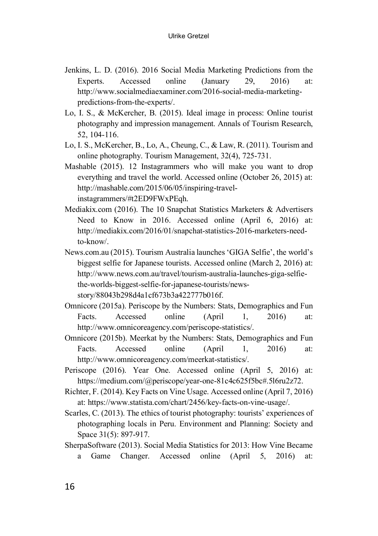- Jenkins, L. D. (2016). 2016 Social Media Marketing Predictions from the Experts. Accessed online (January 29, 2016) at: http://www.socialmediaexaminer.com/2016-social-media-marketingpredictions-from-the-experts/.
- Lo, I. S., & McKercher, B. (2015). Ideal image in process: Online tourist photography and impression management. Annals of Tourism Research, 52, 104-116.
- Lo, I. S., McKercher, B., Lo, A., Cheung, C., & Law, R. (2011). Tourism and online photography. Tourism Management, 32(4), 725-731.
- Mashable (2015). 12 Instagrammers who will make you want to drop everything and travel the world. Accessed online (October 26, 2015) at: http://mashable.com/2015/06/05/inspiring-travelinstagrammers/#t2ED9FWxPEqh.
- Mediakix.com (2016). The 10 Snapchat Statistics Marketers & Advertisers Need to Know in 2016. Accessed online (April 6, 2016) at: http://mediakix.com/2016/01/snapchat-statistics-2016-marketers-needto-know/.
- News.com.au (2015). Tourism Australia launches 'GIGA Selfie', the world's biggest selfie for Japanese tourists. Accessed online (March 2, 2016) at: http://www.news.com.au/travel/tourism-australia-launches-giga-selfiethe-worlds-biggest-selfie-for-japanese-tourists/newsstory/88043b298d4a1cf673b3a422777b016f.
- Omnicore (2015a). Periscope by the Numbers: Stats, Demographics and Fun Facts. Accessed online (April 1, 2016) at: http://www.omnicoreagency.com/periscope-statistics/.
- Omnicore (2015b). Meerkat by the Numbers: Stats, Demographics and Fun Facts. Accessed online (April 1, 2016) at: http://www.omnicoreagency.com/meerkat-statistics/.
- Periscope (2016). Year One. Accessed online (April 5, 2016) at: https://medium.com/@periscope/year-one-81c4c625f5bc#.5l6ru2z72.
- Richter, F. (2014). Key Facts on Vine Usage. Accessed online (April 7, 2016) at: https://www.statista.com/chart/2456/key-facts-on-vine-usage/.
- Scarles, C. (2013). The ethics of tourist photography: tourists' experiences of photographing locals in Peru. Environment and Planning: Society and Space 31(5): 897-917.
- SherpaSoftware (2013). Social Media Statistics for 2013: How Vine Became a Game Changer. Accessed online (April 5, 2016) at: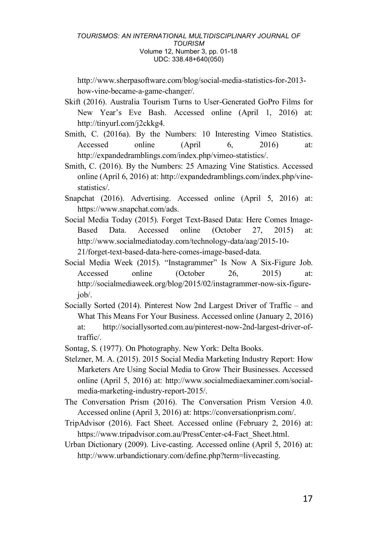http://www.sherpasoftware.com/blog/social-media-statistics-for-2013 how-vine-became-a-game-changer/.

- Skift (2016). Australia Tourism Turns to User-Generated GoPro Films for New Year's Eve Bash. Accessed online (April 1, 2016) at: http://tinyurl.com/j2ckkg4.
- Smith, C. (2016a). By the Numbers: 10 Interesting Vimeo Statistics. Accessed online (April 6, 2016) at: http://expandedramblings.com/index.php/vimeo-statistics/.
- Smith, C. (2016). By the Numbers: 25 Amazing Vine Statistics. Accessed online (April 6, 2016) at: http://expandedramblings.com/index.php/vinestatistics/.
- Snapchat (2016). Advertising. Accessed online (April 5, 2016) at: https://www.snapchat.com/ads.
- Social Media Today (2015). Forget Text-Based Data: Here Comes Image-Based Data. Accessed online (October 27, 2015) at: http://www.socialmediatoday.com/technology-data/aag/2015-10- 21/forget-text-based-data-here-comes-image-based-data.
- Social Media Week (2015). "Instagrammer" Is Now A Six-Figure Job. Accessed online (October 26, 2015) at: http://socialmediaweek.org/blog/2015/02/instagrammer-now-six-figurejob/.
- Socially Sorted (2014). Pinterest Now 2nd Largest Driver of Traffic and What This Means For Your Business. Accessed online (January 2, 2016) at: http://sociallysorted.com.au/pinterest-now-2nd-largest-driver-oftraffic/.
- Sontag, S. (1977). On Photography. New York: Delta Books.
- Stelzner, M. A. (2015). 2015 Social Media Marketing Industry Report: How Marketers Are Using Social Media to Grow Their Businesses. Accessed online (April 5, 2016) at: http://www.socialmediaexaminer.com/socialmedia-marketing-industry-report-2015/.
- The Conversation Prism (2016). The Conversation Prism Version 4.0. Accessed online (April 3, 2016) at: https://conversationprism.com/.
- TripAdvisor (2016). Fact Sheet. Accessed online (February 2, 2016) at: https://www.tripadvisor.com.au/PressCenter-c4-Fact\_Sheet.html.
- Urban Dictionary (2009). Live-casting. Accessed online (April 5, 2016) at: http://www.urbandictionary.com/define.php?term=livecasting.